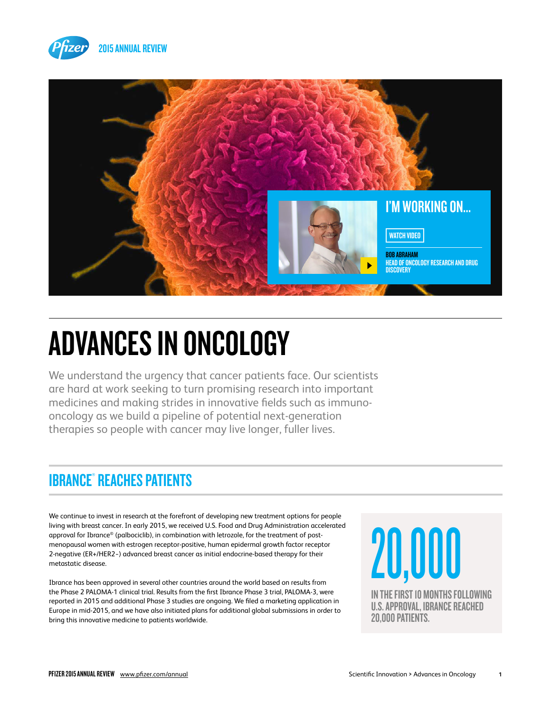



# ADVANCES IN ONCOLOGY

We understand the urgency that cancer patients face. Our scientists are hard at work seeking to turn promising research into important medicines and making strides in innovative fields such as immunooncology as we build a pipeline of potential next-generation therapies so people with cancer may live longer, fuller lives.

## IBRANCE® REACHES PATIENTS

We continue to invest in research at the forefront of developing new treatment options for people living with breast cancer. In early 2015, we received U.S. Food and Drug Administration accelerated approval for Ibrance® (palbociclib), in combination with letrozole, for the treatment of postmenopausal women with estrogen receptor-positive, human epidermal growth factor receptor 2-negative (ER+/HER2−) advanced breast cancer as initial endocrine-based therapy for their metastatic disease.

Ibrance has been approved in several other countries around the world based on results from the Phase 2 PALOMA-1 clinical trial. Results from the first Ibrance Phase 3 trial, PALOMA-3, were reported in 2015 and additional Phase 3 studies are ongoing. We filed a marketing application in Europe in mid-2015, and we have also initiated plans for additional global submissions in order to bring this innovative medicine to patients worldwide.

20,000 IN THE FIRST 10 MONTHS FOLLOWING U.S. APPROVAL, IBRANCE REACHED 20,000 PATIENTS.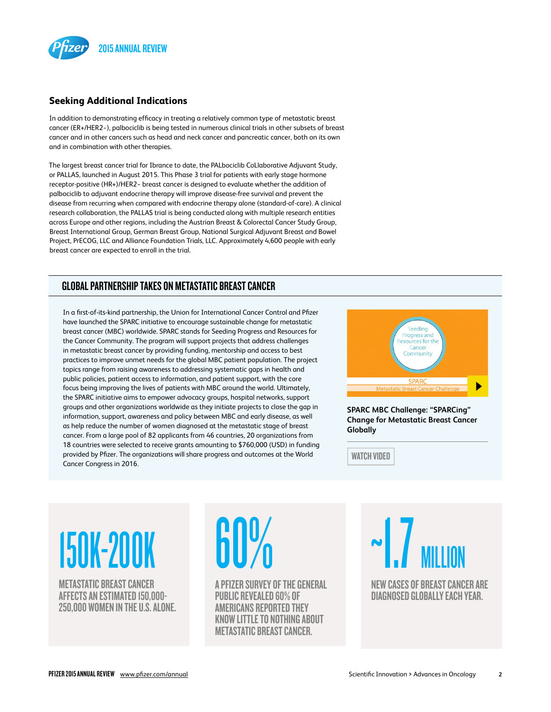

#### **Seeking Additional Indications**

In addition to demonstrating efficacy in treating a relatively common type of metastatic breast cancer (ER+/HER2−), palbociclib is being tested in numerous clinical trials in other subsets of breast cancer and in other cancers such as head and neck cancer and pancreatic cancer, both on its own and in combination with other therapies.

The largest breast cancer trial for Ibrance to date, the PALbociclib CoLlaborative Adjuvant Study, or PALLAS, launched in August 2015. This Phase 3 trial for patients with early stage hormone receptor-positive (HR+)/HER2− breast cancer is designed to evaluate whether the addition of palbociclib to adjuvant endocrine therapy will improve disease-free survival and prevent the disease from recurring when compared with endocrine therapy alone (standard-of-care). A clinical research collaboration, the PALLAS trial is being conducted along with multiple research entities across Europe and other regions, including the Austrian Breast & Colorectal Cancer Study Group, Breast International Group, German Breast Group, National Surgical Adjuvant Breast and Bowel Project, PrECOG, LLC and Alliance Foundation Trials, LLC. Approximately 4,600 people with early breast cancer are expected to enroll in the trial.

#### GLOBAL PARTNERSHIP TAKES ON METASTATIC BREAST CANCER

In a first-of-its-kind partnership, the Union for International Cancer Control and Pfizer have launched the SPARC initiative to encourage sustainable change for metastatic breast cancer (MBC) worldwide. SPARC stands for Seeding Progress and Resources for the Cancer Community. The program will support projects that address challenges in metastatic breast cancer by providing funding, mentorship and access to best practices to improve unmet needs for the global MBC patient population. The project topics range from raising awareness to addressing systematic gaps in health and public policies, patient access to information, and patient support, with the core focus being improving the lives of patients with MBC around the world. Ultimately, the SPARC initiative aims to empower advocacy groups, hospital networks, support groups and other organizations worldwide as they initiate projects to close the gap in information, support, awareness and policy between MBC and early disease, as well as help reduce the number of women diagnosed at the metastatic stage of breast cancer. From a large pool of 82 applicants from 46 countries, 20 organizations from 18 countries were selected to receive grants amounting to \$760,000 (USD) in funding provided by Pfizer. The organizations will share progress and outcomes at the World Cancer Congress in 2016.



**SPARC MBC Challenge: "SPARCing" [Change for Metastatic Breast Cancer](https://www.youtube.com/watch?v=VKL0VG3r0jI)  Globally**

WATCH VIDEO

# 150K-200K

METASTATIC BREAST CANCER AFFECTS AN ESTIMATED 150,000- 250,000 WOMEN IN THE U.S. ALONE. **60%** 

A PFIZER SURVEY OF THE GENERAL PUBLIC REVEALED 60% OF AMERICANS REPORTED THEY KNOW LITTLE TO NOTHING ABOUT METASTATIC BREAST CANCER.

~1.7 MILLION NEW CASES OF BREAST CANCER ARE DIAGNOSED GLOBALLY EACH YEAR.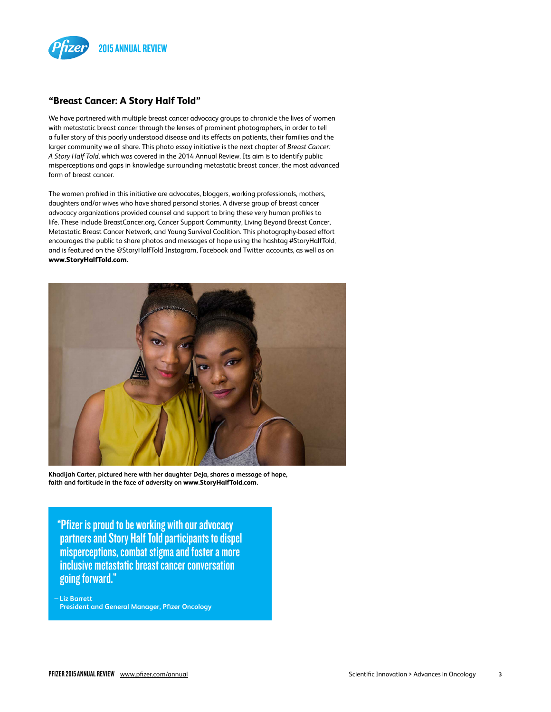

#### **"Breast Cancer: A Story Half Told"**

We have partnered with multiple breast cancer advocacy groups to chronicle the lives of women with metastatic breast cancer through the lenses of prominent photographers, in order to tell a fuller story of this poorly understood disease and its effects on patients, their families and the larger community we all share. This photo essay initiative is the next chapter of *Breast Cancer: A Story Half Told*, which was covered in the 2014 Annual Review. Its aim is to identify public misperceptions and gaps in knowledge surrounding metastatic breast cancer, the most advanced form of breast cancer.

The women profiled in this initiative are advocates, bloggers, working professionals, mothers, daughters and/or wives who have shared personal stories. A diverse group of breast cancer advocacy organizations provided counsel and support to bring these very human profiles to life. These include BreastCancer.org, Cancer Support Community, Living Beyond Breast Cancer, Metastatic Breast Cancer Network, and Young Survival Coalition. This photography-based effort encourages the public to share photos and messages of hope using the hashtag #StoryHalfTold, and is featured on the @StoryHalfTold Instagram, Facebook and Twitter accounts, as well as on **[www.StoryHalfTold.com](http://www.storyhalftold.com/).**



**Khadijah Carter, pictured here with her daughter Deja, shares a message of hope, faith and fortitude in the face of adversity on [www.StoryHalfTold.com](http://www.storyhalftold.com/).**

"Pfizer is proud to be working with our advocacy partners and Story Half Told participants to dispel misperceptions, combat stigma and foster a more inclusive metastatic breast cancer conversation going forward."

—**Liz Barrett President and General Manager, Pfizer Oncology**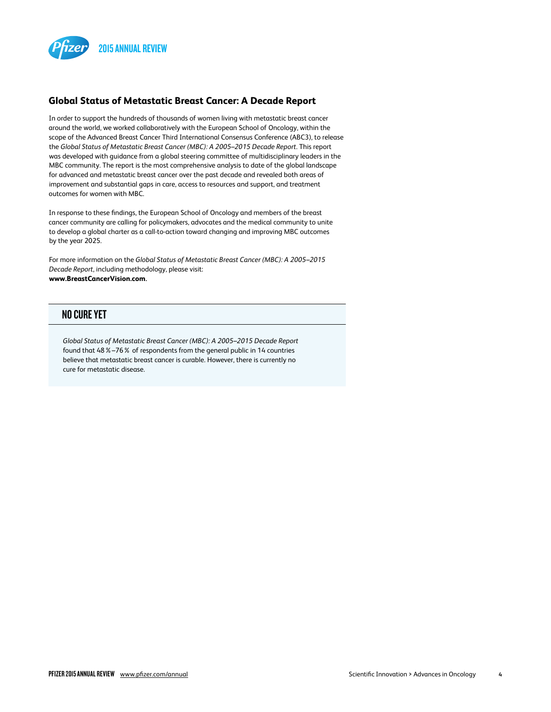

#### **Global Status of Metastatic Breast Cancer: A Decade Report**

In order to support the hundreds of thousands of women living with metastatic breast cancer around the world, we worked collaboratively with the European School of Oncology, within the scope of the Advanced Breast Cancer Third International Consensus Conference (ABC3), to release the *Global Status of Metastatic Breast Cancer (MBC): A 2005–2015 Decade Report*. This report was developed with guidance from a global steering committee of multidisciplinary leaders in the MBC community. The report is the most comprehensive analysis to date of the global landscape for advanced and metastatic breast cancer over the past decade and revealed both areas of improvement and substantial gaps in care, access to resources and support, and treatment outcomes for women with MBC.

In response to these findings, the European School of Oncology and members of the breast cancer community are calling for policymakers, advocates and the medical community to unite to develop a global charter as a call-to-action toward changing and improving MBC outcomes by the year 2025.

For more information on the *Global Status of Metastatic Breast Cancer (MBC): A 2005–2015 Decade Report*, including methodology, please visit: **[www.BreastCancerVision.com](http://www.breastcancervision.com/).**

#### NO CURE YET

*Global Status of Metastatic Breast Cancer (MBC): A 2005–2015 Decade Report* found that 48%–76% of respondents from the general public in 14 countries believe that metastatic breast cancer is curable. However, there is currently no cure for metastatic disease.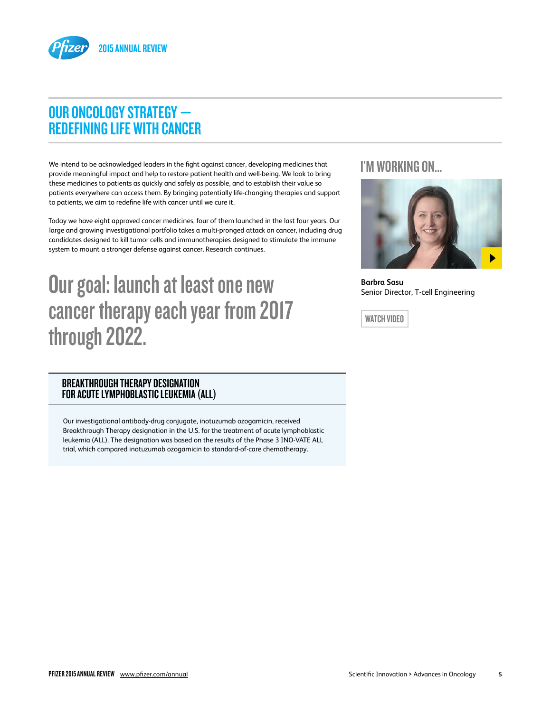

### OUR ONCOLOGY STRATEGY — REDEFINING LIFE WITH CANCER

We intend to be acknowledged leaders in the fight against cancer, developing medicines that provide meaningful impact and help to restore patient health and well-being. We look to bring these medicines to patients as quickly and safely as possible, and to establish their value so patients everywhere can access them. By bringing potentially life-changing therapies and support to patients, we aim to redefine life with cancer until we cure it.

Today we have eight approved cancer medicines, four of them launched in the last four years. Our large and growing investigational portfolio takes a multi-pronged attack on cancer, including drug candidates designed to kill tumor cells and immunotherapies designed to stimulate the immune system to mount a stronger defense against cancer. Research continues.

# Our goal: launch at least one new cancer therapy each year from 2017 through 2022.

#### BREAKTHROUGH THERAPY DESIGNATION FOR ACUTE LYMPHOBLASTIC LEUKEMIA (ALL)

Our investigational antibody-drug conjugate, inotuzumab ozogamicin, received Breakthrough Therapy designation in the U.S. for the treatment of acute lymphoblastic leukemia (ALL). The designation was based on the results of the Phase 3 INO-VATE ALL trial, which compared inotuzumab ozogamicin to standard-of-care chemotherapy.

#### [I'M WORKING ON...](http://www.pfizer.com/files/investors/financial_reports/annual_reports/2015/advances-in-oncology.htm)



**Barbra Sasu** Senior Director, T-cell Engineering

WATCH VIDEO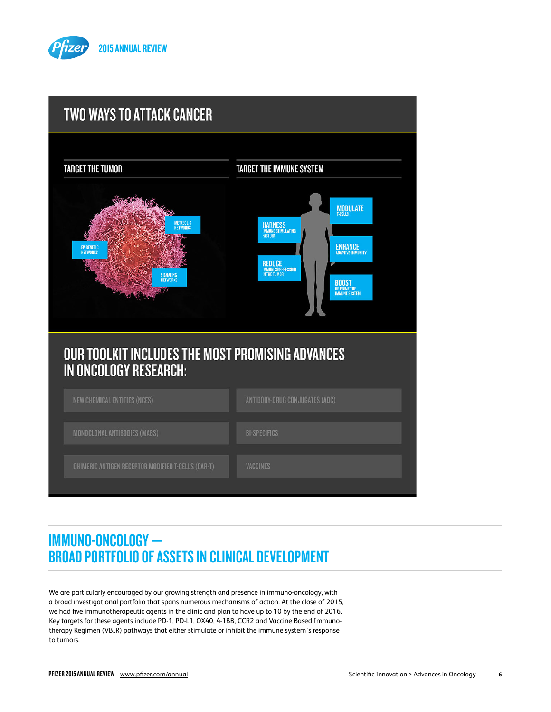



## IMMUNO-ONCOLOGY — BROAD PORTFOLIO OF ASSETS IN CLINICAL DEVELOPMENT

We are particularly encouraged by our growing strength and presence in immuno-oncology, with a broad investigational portfolio that spans numerous mechanisms of action. At the close of 2015, we had five immunotherapeutic agents in the clinic and plan to have up to 10 by the end of 2016. Key targets for these agents include PD-1, PD-L1, OX40, 4-1BB, CCR2 and Vaccine Based Immunotherapy Regimen (VBIR) pathways that either stimulate or inhibit the immune system's response to tumors.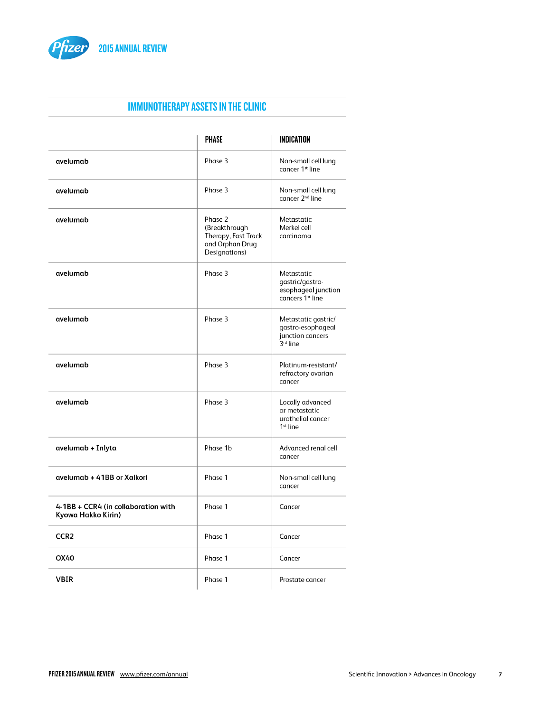

#### IMMUNOTHERAPY ASSETS IN THE CLINIC

|                                                           | <b>PHASE</b>                                                                        | <b>INDICATION</b>                                                                    |
|-----------------------------------------------------------|-------------------------------------------------------------------------------------|--------------------------------------------------------------------------------------|
| avelumab                                                  | Phase 3                                                                             | Non-small cell lung<br>cancer 1 <sup>st</sup> line                                   |
| avelumab                                                  | Phase 3                                                                             | Non-small cell lung<br>cancer 2 <sup>nd</sup> line                                   |
| avelumab                                                  | Phase 2<br>(Breakthrough<br>Therapy, Fast Track<br>and Orphan Drug<br>Designations) | Metastatic<br>Merkel cell<br>carcinoma                                               |
| avelumab                                                  | Phase 3                                                                             | Metastatic<br>qastric/qastro-<br>esophageal junction<br>cancers 1 <sup>st</sup> line |
| avelumab                                                  | Phase 3                                                                             | Metastatic gastric/<br>gastro-esophageal<br>junction cancers<br>3rd line             |
| avelumab                                                  | Phase 3                                                                             | Platinum-resistant/<br>refractory ovarian<br>cancer                                  |
| avelumab                                                  | Phase 3                                                                             | Locally advanced<br>or metastatic<br>urothelial cancer<br>1 <sup>st</sup> line       |
| avelumab + Inlyta                                         | Phase 1b                                                                            | Advanced renal cell<br>cancer                                                        |
| avelumab + 41BB or Xalkori                                | Phase 1                                                                             | Non-small cell lung<br>cancer                                                        |
| 4-1BB + CCR4 (in collaboration with<br>Kyowa Hakko Kirin) | Phase 1                                                                             | Cancer                                                                               |
| CCR <sub>2</sub>                                          | Phase 1                                                                             | Cancer                                                                               |
| OX40                                                      | Phase 1                                                                             | Cancer                                                                               |
| VBIR                                                      | Phase 1                                                                             | Prostate cancer                                                                      |